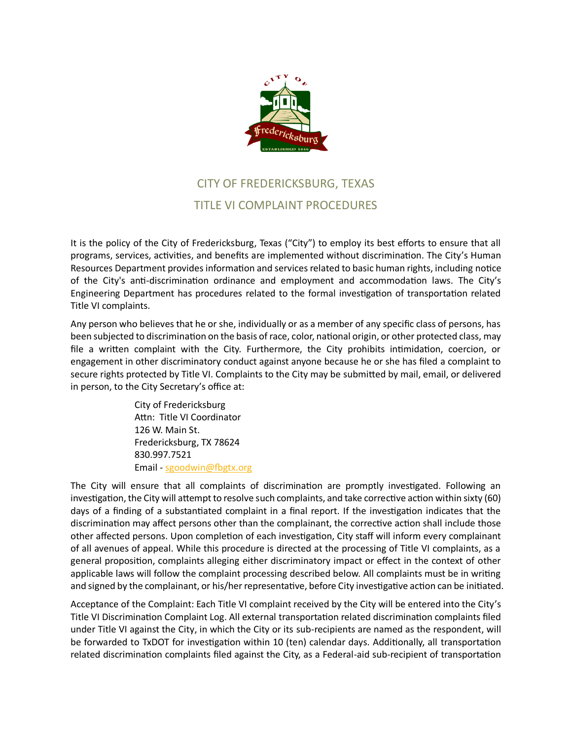

## CITY OF FREDERICKSBURG, TEXAS TITLE VI COMPLAINT PROCEDURES

It is the policy of the City of Fredericksburg, Texas ("City") to employ its best efforts to ensure that all programs, services, activities, and benefits are implemented without discrimination. The City's Human Resources Department provides information and services related to basic human rights, including notice of the City's anti-discrimination ordinance and employment and accommodation laws. The City's Engineering Department has procedures related to the formal investigation of transportation related Title VI complaints.

Any person who believes that he or she, individually or as a member of any specific class of persons, has been subjected to discrimination on the basis of race, color, national origin, or other protected class, may file a written complaint with the City. Furthermore, the City prohibits intimidation, coercion, or engagement in other discriminatory conduct against anyone because he or she has filed a complaint to secure rights protected by Title VI. Complaints to the City may be submitted by mail, email, or delivered in person, to the City Secretary's office at:

> City of Fredericksburg Attn: Title VI Coordinator 126 W. Main St. Fredericksburg, TX 78624 830.997.7521 Email - [sgoodwin@fbgtx.org](mailto:sgoodwin@fbgtx.org)

The City will ensure that all complaints of discrimination are promptly investigated. Following an investigation, the City will attempt to resolve such complaints, and take corrective action within sixty (60) days of a finding of a substantiated complaint in a final report. If the investigation indicates that the discrimination may affect persons other than the complainant, the corrective action shall include those other affected persons. Upon completion of each investigation, City staff will inform every complainant of all avenues of appeal. While this procedure is directed at the processing of Title VI complaints, as a general proposition, complaints alleging either discriminatory impact or effect in the context of other applicable laws will follow the complaint processing described below. All complaints must be in writing and signed by the complainant, or his/her representative, before City investigative action can be initiated.

Acceptance of the Complaint: Each Title VI complaint received by the City will be entered into the City's Title VI Discrimination Complaint Log. All external transportation related discrimination complaints filed under Title VI against the City, in which the City or its sub-recipients are named as the respondent, will be forwarded to TxDOT for investigation within 10 (ten) calendar days. Additionally, all transportation related discrimination complaints filed against the City, as a Federal-aid sub-recipient of transportation